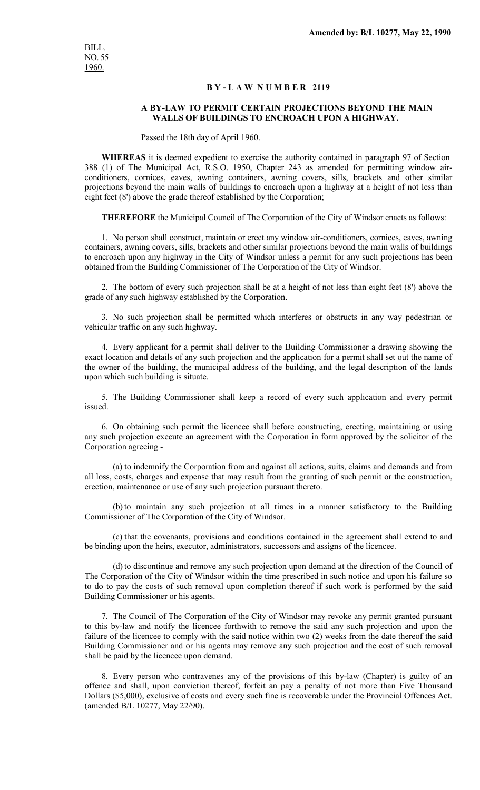## **B Y - L A W N U M B E R 2119**

## **A BY-LAW TO PERMIT CERTAIN PROJECTIONS BEYOND THE MAIN WALLS OF BUILDINGS TO ENCROACH UPON A HIGHWAY.**

Passed the 18th day of April 1960.

**WHEREAS** it is deemed expedient to exercise the authority contained in paragraph 97 of Section 388 (1) of The Municipal Act, R.S.O. 1950, Chapter 243 as amended for permitting window airconditioners, cornices, eaves, awning containers, awning covers, sills, brackets and other similar projections beyond the main walls of buildings to encroach upon a highway at a height of not less than eight feet (8') above the grade thereof established by the Corporation;

**THEREFORE** the Municipal Council of The Corporation of the City of Windsor enacts as follows:

1. No person shall construct, maintain or erect any window air-conditioners, cornices, eaves, awning containers, awning covers, sills, brackets and other similar projections beyond the main walls of buildings to encroach upon any highway in the City of Windsor unless a permit for any such projections has been obtained from the Building Commissioner of The Corporation of the City of Windsor.

2. The bottom of every such projection shall be at a height of not less than eight feet (8') above the grade of any such highway established by the Corporation.

3. No such projection shall be permitted which interferes or obstructs in any way pedestrian or vehicular traffic on any such highway.

4. Every applicant for a permit shall deliver to the Building Commissioner a drawing showing the exact location and details of any such projection and the application for a permit shall set out the name of the owner of the building, the municipal address of the building, and the legal description of the lands upon which such building is situate.

5. The Building Commissioner shall keep a record of every such application and every permit issued.

6. On obtaining such permit the licencee shall before constructing, erecting, maintaining or using any such projection execute an agreement with the Corporation in form approved by the solicitor of the Corporation agreeing -

(a) to indemnify the Corporation from and against all actions, suits, claims and demands and from all loss, costs, charges and expense that may result from the granting of such permit or the construction, erection, maintenance or use of any such projection pursuant thereto.

(b)to maintain any such projection at all times in a manner satisfactory to the Building Commissioner of The Corporation of the City of Windsor.

(c) that the covenants, provisions and conditions contained in the agreement shall extend to and be binding upon the heirs, executor, administrators, successors and assigns of the licencee.

(d)to discontinue and remove any such projection upon demand at the direction of the Council of The Corporation of the City of Windsor within the time prescribed in such notice and upon his failure so to do to pay the costs of such removal upon completion thereof if such work is performed by the said Building Commissioner or his agents.

7. The Council of The Corporation of the City of Windsor may revoke any permit granted pursuant to this by-law and notify the licencee forthwith to remove the said any such projection and upon the failure of the licencee to comply with the said notice within two (2) weeks from the date thereof the said Building Commissioner and or his agents may remove any such projection and the cost of such removal shall be paid by the licencee upon demand.

8. Every person who contravenes any of the provisions of this by-law (Chapter) is guilty of an offence and shall, upon conviction thereof, forfeit an pay a penalty of not more than Five Thousand Dollars (\$5,000), exclusive of costs and every such fine is recoverable under the Provincial Offences Act. (amended B/L 10277, May 22/90).